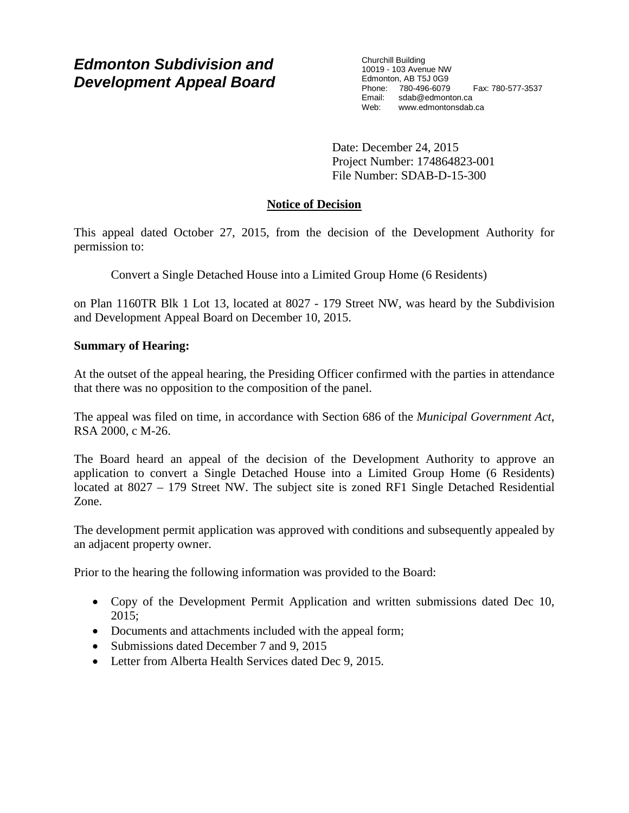# *Edmonton Subdivision and Development Appeal Board*

Churchill Building 10019 - 103 Avenue NW Edmonton, AB T5J 0G9 Phone: 780-496-6079 Fax: 780-577-3537 Email: sdab@edmonton.ca Web: www.edmontonsdab.ca

Date: December 24, 2015 Project Number: 174864823-001 File Number: SDAB-D-15-300

# **Notice of Decision**

This appeal dated October 27, 2015, from the decision of the Development Authority for permission to:

Convert a Single Detached House into a Limited Group Home (6 Residents)

on Plan 1160TR Blk 1 Lot 13, located at 8027 - 179 Street NW, was heard by the Subdivision and Development Appeal Board on December 10, 2015.

## **Summary of Hearing:**

At the outset of the appeal hearing, the Presiding Officer confirmed with the parties in attendance that there was no opposition to the composition of the panel.

The appeal was filed on time, in accordance with Section 686 of the *Municipal Government Act*, RSA 2000, c M-26.

The Board heard an appeal of the decision of the Development Authority to approve an application to convert a Single Detached House into a Limited Group Home (6 Residents) located at 8027 – 179 Street NW. The subject site is zoned RF1 Single Detached Residential Zone.

The development permit application was approved with conditions and subsequently appealed by an adjacent property owner.

Prior to the hearing the following information was provided to the Board:

- Copy of the Development Permit Application and written submissions dated Dec 10, 2015;
- Documents and attachments included with the appeal form;
- Submissions dated December 7 and 9, 2015
- Letter from Alberta Health Services dated Dec 9, 2015.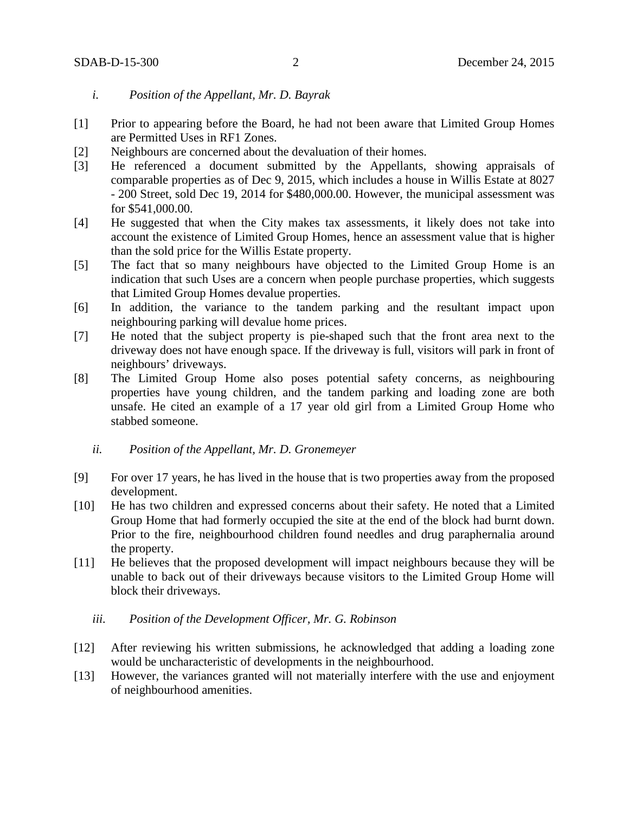- *i. Position of the Appellant, Mr. D. Bayrak*
- [1] Prior to appearing before the Board, he had not been aware that Limited Group Homes are Permitted Uses in RF1 Zones.
- [2] Neighbours are concerned about the devaluation of their homes.
- [3] He referenced a document submitted by the Appellants, showing appraisals of comparable properties as of Dec 9, 2015, which includes a house in Willis Estate at 8027 - 200 Street, sold Dec 19, 2014 for \$480,000.00. However, the municipal assessment was for \$541,000.00.
- [4] He suggested that when the City makes tax assessments, it likely does not take into account the existence of Limited Group Homes, hence an assessment value that is higher than the sold price for the Willis Estate property.
- [5] The fact that so many neighbours have objected to the Limited Group Home is an indication that such Uses are a concern when people purchase properties, which suggests that Limited Group Homes devalue properties.
- [6] In addition, the variance to the tandem parking and the resultant impact upon neighbouring parking will devalue home prices.
- [7] He noted that the subject property is pie-shaped such that the front area next to the driveway does not have enough space. If the driveway is full, visitors will park in front of neighbours' driveways.
- [8] The Limited Group Home also poses potential safety concerns, as neighbouring properties have young children, and the tandem parking and loading zone are both unsafe. He cited an example of a 17 year old girl from a Limited Group Home who stabbed someone.
	- *ii. Position of the Appellant, Mr. D. Gronemeyer*
- [9] For over 17 years, he has lived in the house that is two properties away from the proposed development.
- [10] He has two children and expressed concerns about their safety. He noted that a Limited Group Home that had formerly occupied the site at the end of the block had burnt down. Prior to the fire, neighbourhood children found needles and drug paraphernalia around the property.
- [11] He believes that the proposed development will impact neighbours because they will be unable to back out of their driveways because visitors to the Limited Group Home will block their driveways.
	- *iii. Position of the Development Officer, Mr. G. Robinson*
- [12] After reviewing his written submissions, he acknowledged that adding a loading zone would be uncharacteristic of developments in the neighbourhood.
- [13] However, the variances granted will not materially interfere with the use and enjoyment of neighbourhood amenities.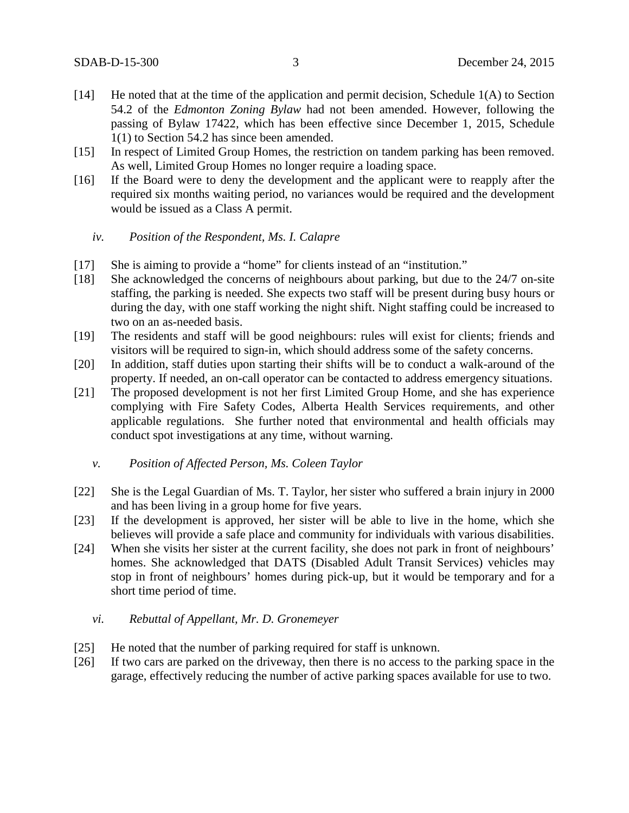- [14] He noted that at the time of the application and permit decision, Schedule 1(A) to Section 54.2 of the *Edmonton Zoning Bylaw* had not been amended. However, following the passing of Bylaw 17422, which has been effective since December 1, 2015, Schedule 1(1) to Section 54.2 has since been amended.
- [15] In respect of Limited Group Homes, the restriction on tandem parking has been removed. As well, Limited Group Homes no longer require a loading space.
- [16] If the Board were to deny the development and the applicant were to reapply after the required six months waiting period, no variances would be required and the development would be issued as a Class A permit.

#### *iv. Position of the Respondent, Ms. I. Calapre*

- [17] She is aiming to provide a "home" for clients instead of an "institution."
- [18] She acknowledged the concerns of neighbours about parking, but due to the 24/7 on-site staffing, the parking is needed. She expects two staff will be present during busy hours or during the day, with one staff working the night shift. Night staffing could be increased to two on an as-needed basis.
- [19] The residents and staff will be good neighbours: rules will exist for clients; friends and visitors will be required to sign-in, which should address some of the safety concerns.
- [20] In addition, staff duties upon starting their shifts will be to conduct a walk-around of the property. If needed, an on-call operator can be contacted to address emergency situations.
- [21] The proposed development is not her first Limited Group Home, and she has experience complying with Fire Safety Codes, Alberta Health Services requirements, and other applicable regulations. She further noted that environmental and health officials may conduct spot investigations at any time, without warning.
	- *v. Position of Affected Person, Ms. Coleen Taylor*
- [22] She is the Legal Guardian of Ms. T. Taylor, her sister who suffered a brain injury in 2000 and has been living in a group home for five years.
- [23] If the development is approved, her sister will be able to live in the home, which she believes will provide a safe place and community for individuals with various disabilities.
- [24] When she visits her sister at the current facility, she does not park in front of neighbours' homes. She acknowledged that DATS (Disabled Adult Transit Services) vehicles may stop in front of neighbours' homes during pick-up, but it would be temporary and for a short time period of time.

#### *vi. Rebuttal of Appellant, Mr. D. Gronemeyer*

- [25] He noted that the number of parking required for staff is unknown.
- [26] If two cars are parked on the driveway, then there is no access to the parking space in the garage, effectively reducing the number of active parking spaces available for use to two.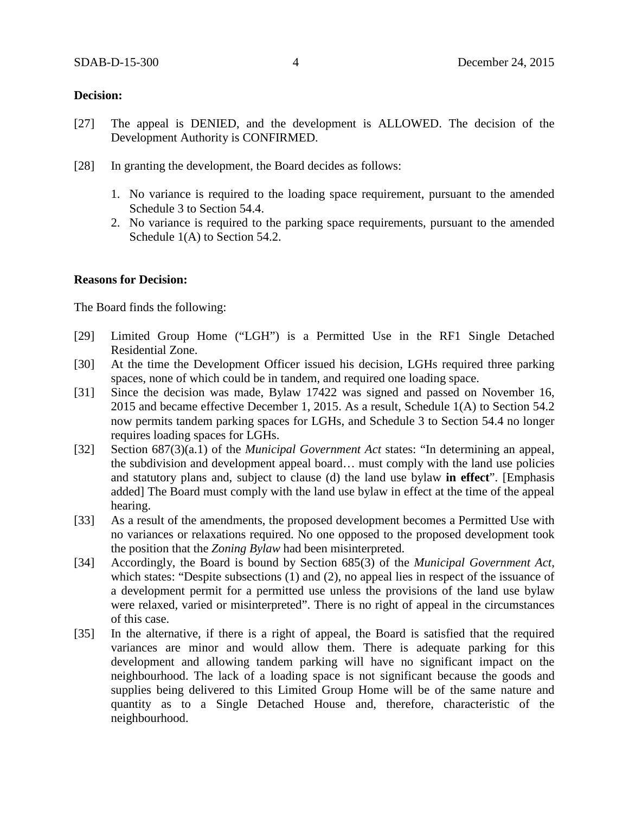### **Decision:**

- [27] The appeal is DENIED, and the development is ALLOWED. The decision of the Development Authority is CONFIRMED.
- [28] In granting the development, the Board decides as follows:
	- 1. No variance is required to the loading space requirement, pursuant to the amended Schedule 3 to Section 54.4.
	- 2. No variance is required to the parking space requirements, pursuant to the amended Schedule 1(A) to Section 54.2.

### **Reasons for Decision:**

The Board finds the following:

- [29] Limited Group Home ("LGH") is a Permitted Use in the RF1 Single Detached Residential Zone.
- [30] At the time the Development Officer issued his decision, LGHs required three parking spaces, none of which could be in tandem, and required one loading space.
- [31] Since the decision was made, Bylaw 17422 was signed and passed on November 16, 2015 and became effective December 1, 2015. As a result, Schedule 1(A) to Section 54.2 now permits tandem parking spaces for LGHs, and Schedule 3 to Section 54.4 no longer requires loading spaces for LGHs.
- [32] Section 687(3)(a.1) of the *Municipal Government Act* states: "In determining an appeal, the subdivision and development appeal board… must comply with the land use policies and statutory plans and, subject to clause (d) the land use bylaw **in effect**". [Emphasis added] The Board must comply with the land use bylaw in effect at the time of the appeal hearing.
- [33] As a result of the amendments, the proposed development becomes a Permitted Use with no variances or relaxations required. No one opposed to the proposed development took the position that the *Zoning Bylaw* had been misinterpreted.
- [34] Accordingly, the Board is bound by Section 685(3) of the *Municipal Government Act*, which states: "Despite subsections (1) and (2), no appeal lies in respect of the issuance of a development permit for a permitted use unless the provisions of the land use bylaw were relaxed, varied or misinterpreted". There is no right of appeal in the circumstances of this case.
- [35] In the alternative, if there is a right of appeal, the Board is satisfied that the required variances are minor and would allow them. There is adequate parking for this development and allowing tandem parking will have no significant impact on the neighbourhood. The lack of a loading space is not significant because the goods and supplies being delivered to this Limited Group Home will be of the same nature and quantity as to a Single Detached House and, therefore, characteristic of the neighbourhood.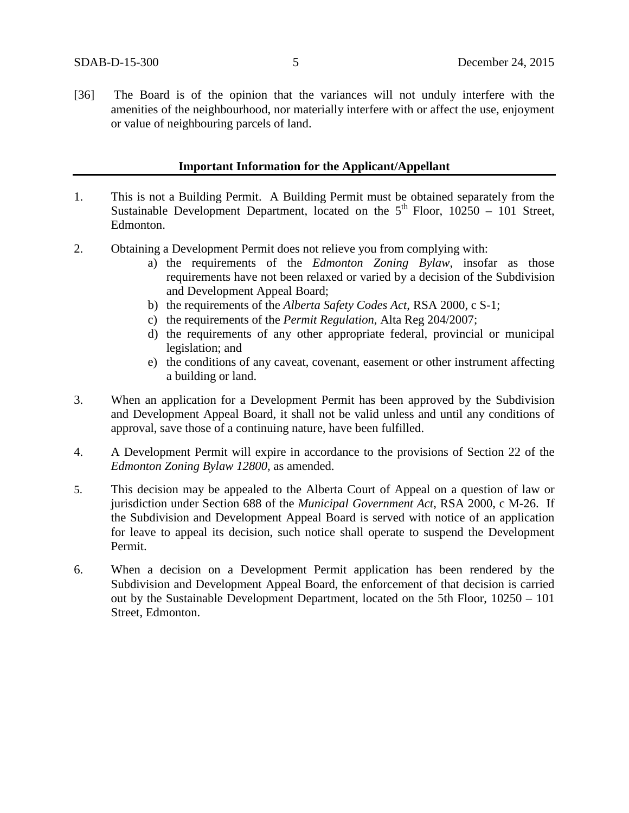[36] The Board is of the opinion that the variances will not unduly interfere with the amenities of the neighbourhood, nor materially interfere with or affect the use, enjoyment or value of neighbouring parcels of land.

### **Important Information for the Applicant/Appellant**

- 1. This is not a Building Permit. A Building Permit must be obtained separately from the Sustainable Development Department, located on the  $5<sup>th</sup>$  Floor, 10250 – 101 Street, Edmonton.
- 2. Obtaining a Development Permit does not relieve you from complying with:
	- a) the requirements of the *Edmonton Zoning Bylaw*, insofar as those requirements have not been relaxed or varied by a decision of the Subdivision and Development Appeal Board;
	- b) the requirements of the *Alberta Safety Codes Act*, RSA 2000, c S-1;
	- c) the requirements of the *Permit Regulation*, Alta Reg 204/2007;
	- d) the requirements of any other appropriate federal, provincial or municipal legislation; and
	- e) the conditions of any caveat, covenant, easement or other instrument affecting a building or land.
- 3. When an application for a Development Permit has been approved by the Subdivision and Development Appeal Board, it shall not be valid unless and until any conditions of approval, save those of a continuing nature, have been fulfilled.
- 4. A Development Permit will expire in accordance to the provisions of Section 22 of the *Edmonton Zoning Bylaw 12800*, as amended.
- 5. This decision may be appealed to the Alberta Court of Appeal on a question of law or jurisdiction under Section 688 of the *Municipal Government Act*, RSA 2000, c M-26. If the Subdivision and Development Appeal Board is served with notice of an application for leave to appeal its decision, such notice shall operate to suspend the Development Permit.
- 6. When a decision on a Development Permit application has been rendered by the Subdivision and Development Appeal Board, the enforcement of that decision is carried out by the Sustainable Development Department, located on the 5th Floor, 10250 – 101 Street, Edmonton.